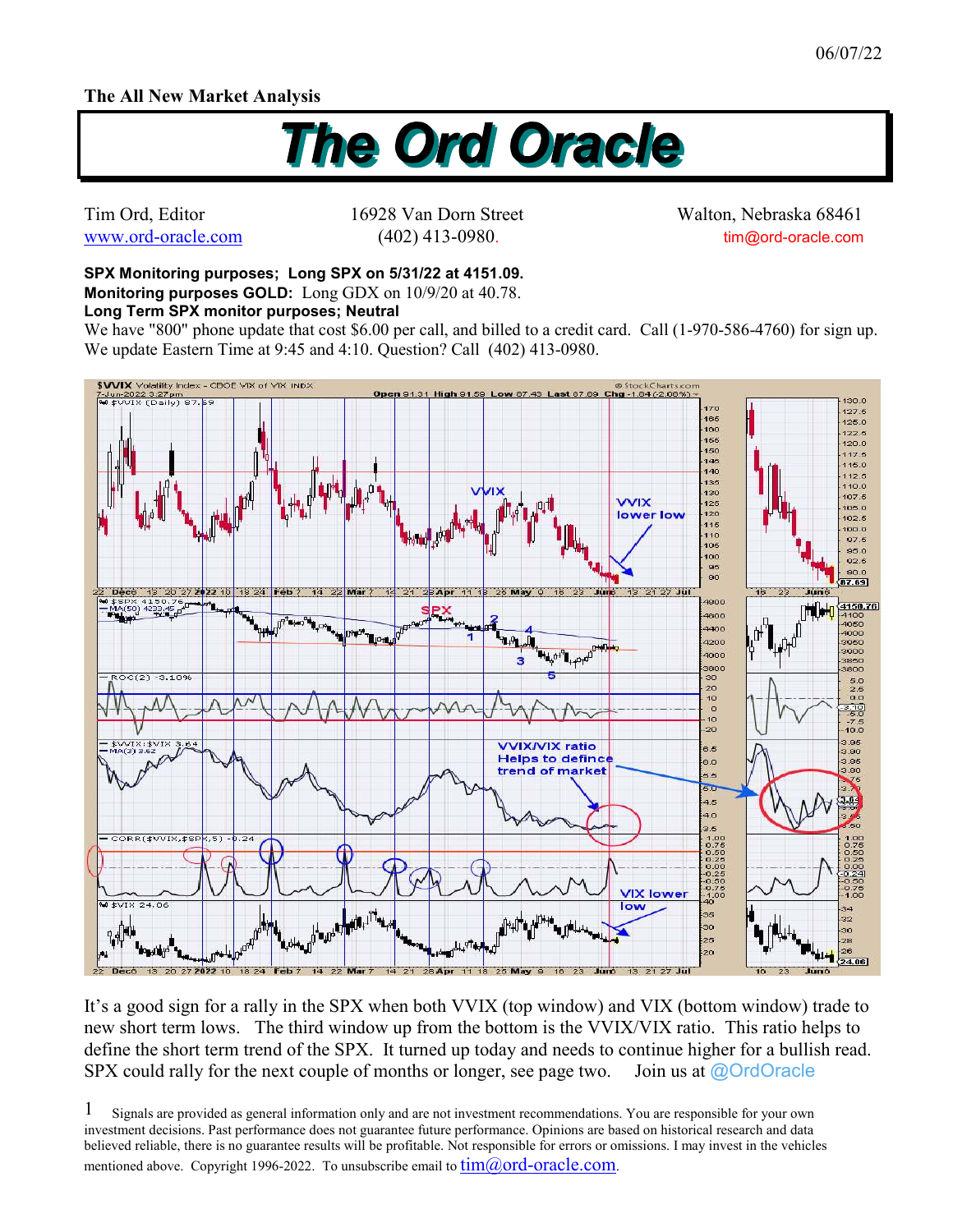## **The All New Market Analysis**



Tim Ord, Editor 16928 Van Dorn Street Walton, Nebraska 68461 www.ord-oracle.com (402) 413-0980. tim@ord-oracle.com

**SPX Monitoring purposes; Long SPX on 5/31/22 at 4151.09. Monitoring purposes GOLD:** Long GDX on 10/9/20 at 40.78.

**Long Term SPX monitor purposes; Neutral** 

We have "800" phone update that cost \$6.00 per call, and billed to a credit card. Call (1-970-586-4760) for sign up. We update Eastern Time at 9:45 and 4:10. Question? Call (402) 413-0980.



It's a good sign for a rally in the SPX when both VVIX (top window) and VIX (bottom window) trade to new short term lows. The third window up from the bottom is the VVIX/VIX ratio. This ratio helps to define the short term trend of the SPX. It turned up today and needs to continue higher for a bullish read. SPX could rally for the next couple of months or longer, see page two. Join us at  $\omega$ OrdOracle

Signals are provided as general information only and are not investment recommendations. You are responsible for your own investment decisions. Past performance does not guarantee future performance. Opinions are based on historical research and data believed reliable, there is no guarantee results will be profitable. Not responsible for errors or omissions. I may invest in the vehicles mentioned above. Copyright 1996-2022. To unsubscribe email to  $\lim(\partial_{\theta} \text{ord-oracle.com})$ . 1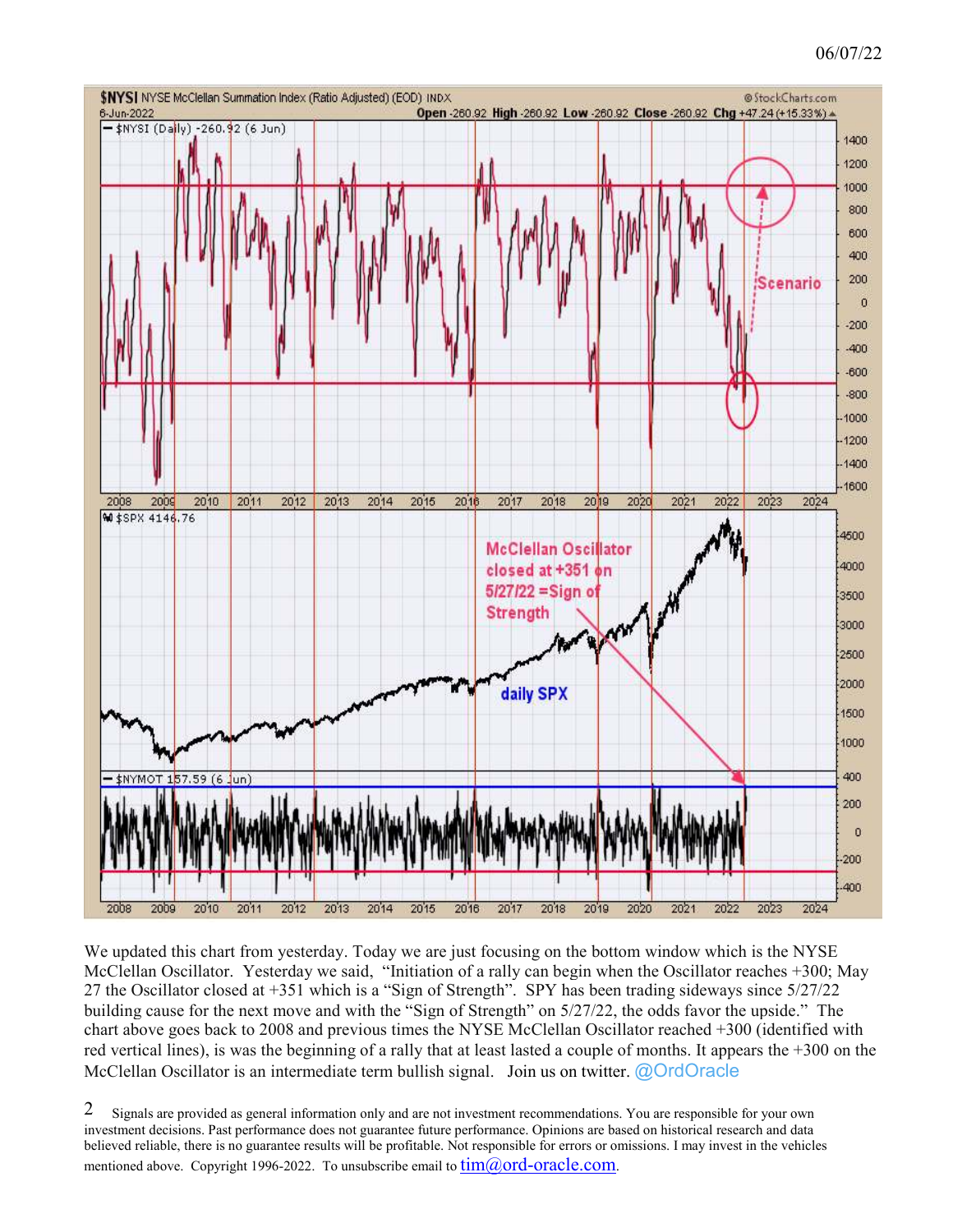## 06/07/22



We updated this chart from yesterday. Today we are just focusing on the bottom window which is the NYSE McClellan Oscillator. Yesterday we said, "Initiation of a rally can begin when the Oscillator reaches +300; May 27 the Oscillator closed at +351 which is a "Sign of Strength". SPY has been trading sideways since 5/27/22 building cause for the next move and with the "Sign of Strength" on 5/27/22, the odds favor the upside." The chart above goes back to 2008 and previous times the NYSE McClellan Oscillator reached +300 (identified with red vertical lines), is was the beginning of a rally that at least lasted a couple of months. It appears the +300 on the McClellan Oscillator is an intermediate term bullish signal. Join us on twitter. @OrdOracle

Signals are provided as general information only and are not investment recommendations. You are responsible for your own investment decisions. Past performance does not guarantee future performance. Opinions are based on historical research and data believed reliable, there is no guarantee results will be profitable. Not responsible for errors or omissions. I may invest in the vehicles mentioned above. Copyright 1996-2022. To unsubscribe email to  $\lim(\partial_{\Omega} \text{ord-oracle.com})$ . 2